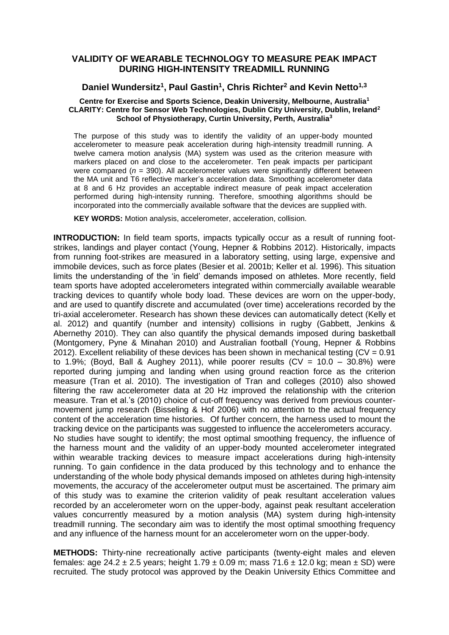## **VALIDITY OF WEARABLE TECHNOLOGY TO MEASURE PEAK IMPACT DURING HIGH-INTENSITY TREADMILL RUNNING**

# **Daniel Wundersitz<sup>1</sup> , Paul Gastin<sup>1</sup> , Chris Richter<sup>2</sup> and Kevin Netto1,3**

### **Centre for Exercise and Sports Science, Deakin University, Melbourne, Australia<sup>1</sup> CLARITY: Centre for Sensor Web Technologies, Dublin City University, Dublin, Ireland<sup>2</sup> School of Physiotherapy, Curtin University, Perth, Australia<sup>3</sup>**

The purpose of this study was to identify the validity of an upper-body mounted accelerometer to measure peak acceleration during high-intensity treadmill running. A twelve camera motion analysis (MA) system was used as the criterion measure with markers placed on and close to the accelerometer. Ten peak impacts per participant were compared ( $n = 390$ ). All accelerometer values were significantly different between the MA unit and T6 reflective marker's acceleration data. Smoothing accelerometer data at 8 and 6 Hz provides an acceptable indirect measure of peak impact acceleration performed during high-intensity running. Therefore, smoothing algorithms should be incorporated into the commercially available software that the devices are supplied with.

**KEY WORDS:** Motion analysis, accelerometer, acceleration, collision.

**INTRODUCTION:** In field team sports, impacts typically occur as a result of running footstrikes, landings and player contact (Young, Hepner & Robbins 2012). Historically, impacts from running foot-strikes are measured in a laboratory setting, using large, expensive and immobile devices, such as force plates (Besier et al. 2001b; Keller et al. 1996). This situation limits the understanding of the 'in field' demands imposed on athletes. More recently, field team sports have adopted accelerometers integrated within commercially available wearable tracking devices to quantify whole body load. These devices are worn on the upper-body, and are used to quantify discrete and accumulated (over time) accelerations recorded by the tri-axial accelerometer. Research has shown these devices can automatically detect (Kelly et al. 2012) and quantify (number and intensity) collisions in rugby (Gabbett, Jenkins & Abernethy 2010). They can also quantify the physical demands imposed during basketball (Montgomery, Pyne & Minahan 2010) and Australian football (Young, Hepner & Robbins 2012). Excellent reliability of these devices has been shown in mechanical testing ( $CV = 0.91$ ) to 1.9%; (Boyd, Ball & Aughey 2011), while poorer results (CV =  $10.0 - 30.8\%$ ) were reported during jumping and landing when using ground reaction force as the criterion measure (Tran et al. 2010). The investigation of Tran and colleges (2010) also showed filtering the raw accelerometer data at 20 Hz improved the relationship with the criterion measure. Tran et al.'s (2010) choice of cut-off frequency was derived from previous countermovement jump research (Bisseling & Hof 2006) with no attention to the actual frequency content of the acceleration time histories. Of further concern, the harness used to mount the tracking device on the participants was suggested to influence the accelerometers accuracy. No studies have sought to identify; the most optimal smoothing frequency, the influence of the harness mount and the validity of an upper-body mounted accelerometer integrated within wearable tracking devices to measure impact accelerations during high-intensity running. To gain confidence in the data produced by this technology and to enhance the understanding of the whole body physical demands imposed on athletes during high-intensity movements, the accuracy of the accelerometer output must be ascertained. The primary aim of this study was to examine the criterion validity of peak resultant acceleration values recorded by an accelerometer worn on the upper-body, against peak resultant acceleration values concurrently measured by a motion analysis (MA) system during high-intensity treadmill running. The secondary aim was to identify the most optimal smoothing frequency and any influence of the harness mount for an accelerometer worn on the upper-body.

**METHODS:** Thirty-nine recreationally active participants (twenty-eight males and eleven females: age  $24.2 \pm 2.5$  years; height  $1.79 \pm 0.09$  m; mass  $71.6 \pm 12.0$  kg; mean  $\pm$  SD) were recruited. The study protocol was approved by the Deakin University Ethics Committee and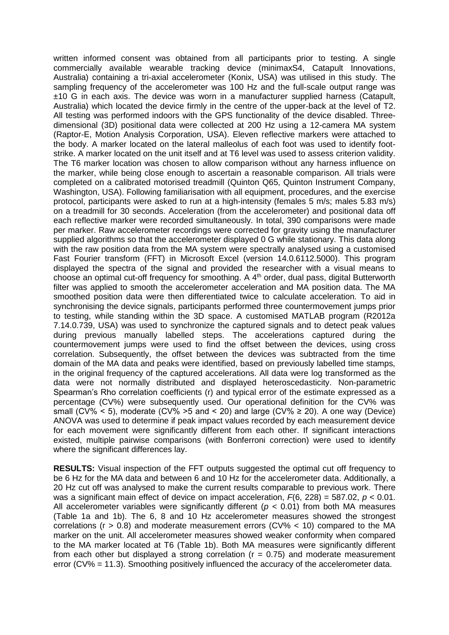written informed consent was obtained from all participants prior to testing. A single commercially available wearable tracking device (minimaxS4, Catapult Innovations, Australia) containing a tri-axial accelerometer (Konix, USA) was utilised in this study. The sampling frequency of the accelerometer was 100 Hz and the full-scale output range was ±10 G in each axis. The device was worn in a manufacturer supplied harness (Catapult, Australia) which located the device firmly in the centre of the upper-back at the level of T2. All testing was performed indoors with the GPS functionality of the device disabled. Threedimensional (3D) positional data were collected at 200 Hz using a 12-camera MA system (Raptor-E, Motion Analysis Corporation, USA). Eleven reflective markers were attached to the body. A marker located on the lateral malleolus of each foot was used to identify footstrike. A marker located on the unit itself and at T6 level was used to assess criterion validity. The T6 marker location was chosen to allow comparison without any harness influence on the marker, while being close enough to ascertain a reasonable comparison. All trials were completed on a calibrated motorised treadmill (Quinton Q65, Quinton Instrument Company, Washington, USA). Following familiarisation with all equipment, procedures, and the exercise protocol, participants were asked to run at a high-intensity (females 5 m/s; males 5.83 m/s) on a treadmill for 30 seconds. Acceleration (from the accelerometer) and positional data off each reflective marker were recorded simultaneously. In total, 390 comparisons were made per marker. Raw accelerometer recordings were corrected for gravity using the manufacturer supplied algorithms so that the accelerometer displayed 0 G while stationary. This data along with the raw position data from the MA system were spectrally analysed using a customised Fast Fourier transform (FFT) in Microsoft Excel (version 14.0.6112.5000). This program displayed the spectra of the signal and provided the researcher with a visual means to choose an optimal cut-off frequency for smoothing. A  $4<sup>th</sup>$  order, dual pass, digital Butterworth filter was applied to smooth the accelerometer acceleration and MA position data. The MA smoothed position data were then differentiated twice to calculate acceleration. To aid in synchronising the device signals, participants performed three countermovement jumps prior to testing, while standing within the 3D space. A customised MATLAB program (R2012a 7.14.0.739, USA) was used to synchronize the captured signals and to detect peak values during previous manually labelled steps. The accelerations captured during the countermovement jumps were used to find the offset between the devices, using cross correlation. Subsequently, the offset between the devices was subtracted from the time domain of the MA data and peaks were identified, based on previously labelled time stamps, in the original frequency of the captured accelerations. All data were log transformed as the data were not normally distributed and displayed heteroscedasticity. Non-parametric Spearman's Rho correlation coefficients (r) and typical error of the estimate expressed as a percentage (CV%) were subsequently used. Our operational definition for the CV% was small (CV% < 5), moderate (CV% > 5 and < 20) and large (CV%  $\geq$  20). A one way (Device) ANOVA was used to determine if peak impact values recorded by each measurement device for each movement were significantly different from each other. If significant interactions existed, multiple pairwise comparisons (with Bonferroni correction) were used to identify where the significant differences lay.

**RESULTS:** Visual inspection of the FFT outputs suggested the optimal cut off frequency to be 6 Hz for the MA data and between 6 and 10 Hz for the accelerometer data. Additionally, a 20 Hz cut off was analysed to make the current results comparable to previous work. There was a significant main effect of device on impact acceleration, *F*(6, 228) = 587.02, *p* < 0.01. All accelerometer variables were significantly different (*p* < 0.01) from both MA measures (Table 1a and 1b). The 6, 8 and 10 Hz accelerometer measures showed the strongest correlations ( $r > 0.8$ ) and moderate measurement errors ( $CV\% < 10$ ) compared to the MA marker on the unit. All accelerometer measures showed weaker conformity when compared to the MA marker located at T6 (Table 1b). Both MA measures were significantly different from each other but displayed a strong correlation ( $r = 0.75$ ) and moderate measurement error (CV% = 11.3). Smoothing positively influenced the accuracy of the accelerometer data.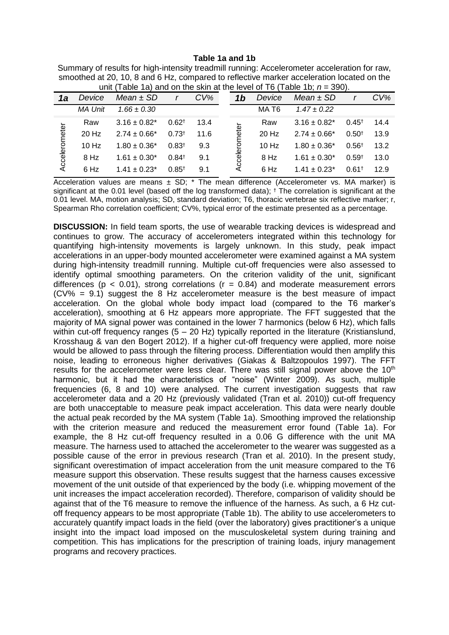### **Table 1a and 1b**

| Summary of results for high-intensity treadmill running: Accelerometer acceleration for raw, |
|----------------------------------------------------------------------------------------------|
| smoothed at 20, 10, 8 and 6 Hz, compared to reflective marker acceleration located on the    |
| unit (Table 1a) and on the skin at the level of T6 (Table 1b; $n = 390$ ).                   |

| 1a            | Device         | $\frac{1}{2}$ and $\frac{1}{2}$ and $\frac{1}{2}$ and $\frac{1}{2}$ and $\frac{1}{2}$ and $\frac{1}{2}$ and $\frac{1}{2}$ and $\frac{1}{2}$ and $\frac{1}{2}$<br>Mean $±$ SD |            | $CV\%$ |  | 1 <sub>b</sub> | Device            | Mean $\pm$ SD     |                     | $CV\%$ |
|---------------|----------------|------------------------------------------------------------------------------------------------------------------------------------------------------------------------------|------------|--------|--|----------------|-------------------|-------------------|---------------------|--------|
|               | <b>MA Unit</b> | $1.66 \pm 0.30$                                                                                                                                                              |            |        |  |                | MA T <sub>6</sub> | $1.47 \pm 0.22$   |                     |        |
| Accelerometer | Raw            | $3.16 \pm 0.82^*$                                                                                                                                                            | $0.62^{+}$ | 13.4   |  | Accelerometer  | Raw               | $3.16 \pm 0.82^*$ | $0.45^+$            | 14.4   |
|               | $20$ Hz        | $2.74 \pm 0.66^*$                                                                                                                                                            | $0.73^{+}$ | 11.6   |  |                | 20 Hz             | $2.74 \pm 0.66^*$ | $0.50^{+}$          | 13.9   |
|               | $10$ Hz        | $1.80 \pm 0.36^*$                                                                                                                                                            | $0.83^{+}$ | 9.3    |  |                | 10 Hz             | $1.80 \pm 0.36^*$ | 0.56 <sup>†</sup>   | 13.2   |
|               | 8 Hz           | $1.61 \pm 0.30^*$                                                                                                                                                            | $0.84^+$   | 9.1    |  |                | 8 Hz              | $1.61 \pm 0.30^*$ | $0.59^{+}$          | 13.0   |
|               | 6 Hz           | $1.41 \pm 0.23$ *                                                                                                                                                            | $0.85^{+}$ | 9.1    |  |                | 6 Hz              | $1.41 \pm 0.23$ * | $0.61$ <sup>t</sup> | 12.9   |

Acceleration values are means  $\pm$  SD;  $*$  The mean difference (Accelerometer vs. MA marker) is significant at the 0.01 level (based off the log transformed data); <sup>†</sup> The correlation is significant at the 0.01 level. MA, motion analysis; SD, standard deviation; T6, thoracic vertebrae six reflective marker; r, Spearman Rho correlation coefficient; CV%, typical error of the estimate presented as a percentage.

**DISCUSSION:** In field team sports, the use of wearable tracking devices is widespread and continues to grow. The accuracy of accelerometers integrated within this technology for quantifying high-intensity movements is largely unknown. In this study, peak impact accelerations in an upper-body mounted accelerometer were examined against a MA system during high-intensity treadmill running. Multiple cut-off frequencies were also assessed to identify optimal smoothing parameters. On the criterion validity of the unit, significant differences ( $p < 0.01$ ), strong correlations ( $r = 0.84$ ) and moderate measurement errors  $(CV\% = 9.1)$  suggest the 8 Hz accelerometer measure is the best measure of impact acceleration. On the global whole body impact load (compared to the T6 marker's acceleration), smoothing at 6 Hz appears more appropriate. The FFT suggested that the majority of MA signal power was contained in the lower 7 harmonics (below 6 Hz), which falls within cut-off frequency ranges  $(5 - 20$  Hz) typically reported in the literature (Kristianslund, Krosshaug & van den Bogert 2012). If a higher cut-off frequency were applied, more noise would be allowed to pass through the filtering process. Differentiation would then amplify this noise, leading to erroneous higher derivatives (Giakas & Baltzopoulos 1997). The FFT results for the accelerometer were less clear. There was still signal power above the  $10<sup>th</sup>$ harmonic, but it had the characteristics of "noise" (Winter 2009). As such, multiple frequencies (6, 8 and 10) were analysed. The current investigation suggests that raw accelerometer data and a 20 Hz (previously validated (Tran et al. 2010)) cut-off frequency are both unacceptable to measure peak impact acceleration. This data were nearly double the actual peak recorded by the MA system (Table 1a). Smoothing improved the relationship with the criterion measure and reduced the measurement error found (Table 1a). For example, the 8 Hz cut-off frequency resulted in a 0.06 G difference with the unit MA measure. The harness used to attached the accelerometer to the wearer was suggested as a possible cause of the error in previous research (Tran et al. 2010). In the present study, significant overestimation of impact acceleration from the unit measure compared to the T6 measure support this observation. These results suggest that the harness causes excessive movement of the unit outside of that experienced by the body (i.e. whipping movement of the unit increases the impact acceleration recorded). Therefore, comparison of validity should be against that of the T6 measure to remove the influence of the harness. As such, a 6 Hz cutoff frequency appears to be most appropriate (Table 1b). The ability to use accelerometers to accurately quantify impact loads in the field (over the laboratory) gives practitioner's a unique insight into the impact load imposed on the musculoskeletal system during training and competition. This has implications for the prescription of training loads, injury management programs and recovery practices.